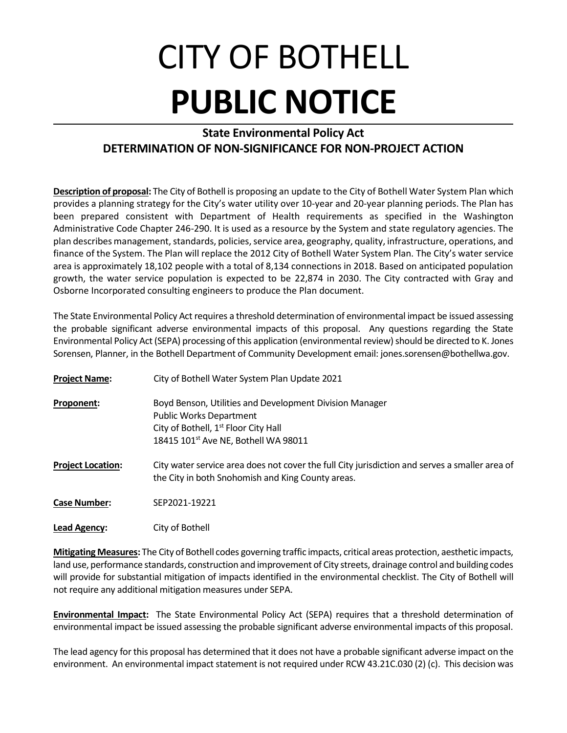## CITY OF BOTHELL **PUBLIC NOTICE**

## **State Environmental Policy Act DETERMINATION OF NON-SIGNIFICANCE FOR NON-PROJECT ACTION**

**Description of proposal:** The City of Bothell is proposing an update to the City of Bothell Water System Plan which provides a planning strategy for the City's water utility over 10-year and 20-year planning periods. The Plan has been prepared consistent with Department of Health requirements as specified in the Washington Administrative Code Chapter 246-290. It is used as a resource by the System and state regulatory agencies. The plan describes management, standards, policies, service area, geography, quality, infrastructure, operations, and finance of the System. The Plan will replace the 2012 City of Bothell Water System Plan. The City's water service area is approximately 18,102 people with a total of 8,134 connections in 2018. Based on anticipated population growth, the water service population is expected to be 22,874 in 2030. The City contracted with Gray and Osborne Incorporated consulting engineers to produce the Plan document.

The State Environmental Policy Act requires a threshold determination of environmental impact be issued assessing the probable significant adverse environmental impacts of this proposal. Any questions regarding the State Environmental Policy Act (SEPA) processing of this application (environmental review) should be directed to K. Jones Sorensen, Planner, in the Bothell Department of Community Development email: jones.sorensen@bothellwa.gov.

| <b>Project Name:</b>     | City of Bothell Water System Plan Update 2021                                                                                                                                                     |
|--------------------------|---------------------------------------------------------------------------------------------------------------------------------------------------------------------------------------------------|
| Proponent:               | Boyd Benson, Utilities and Development Division Manager<br><b>Public Works Department</b><br>City of Bothell, 1 <sup>st</sup> Floor City Hall<br>18415 101 <sup>st</sup> Ave NE, Bothell WA 98011 |
| <b>Project Location:</b> | City water service area does not cover the full City jurisdiction and serves a smaller area of<br>the City in both Snohomish and King County areas.                                               |
| <b>Case Number:</b>      | SEP2021-19221                                                                                                                                                                                     |
| Lead Agency:             | City of Bothell                                                                                                                                                                                   |

**Mitigating Measures:** The City of Bothell codes governing traffic impacts, critical areas protection, aesthetic impacts, land use, performance standards, construction and improvement of City streets, drainage control and building codes will provide for substantial mitigation of impacts identified in the environmental checklist. The City of Bothell will not require any additional mitigation measures under SEPA.

**Environmental Impact:** The State Environmental Policy Act (SEPA) requires that a threshold determination of environmental impact be issued assessing the probable significant adverse environmental impacts of this proposal.

The lead agency for this proposal has determined that it does not have a probable significant adverse impact on the environment. An environmental impact statement is not required under RCW 43.21C.030 (2) (c). This decision was